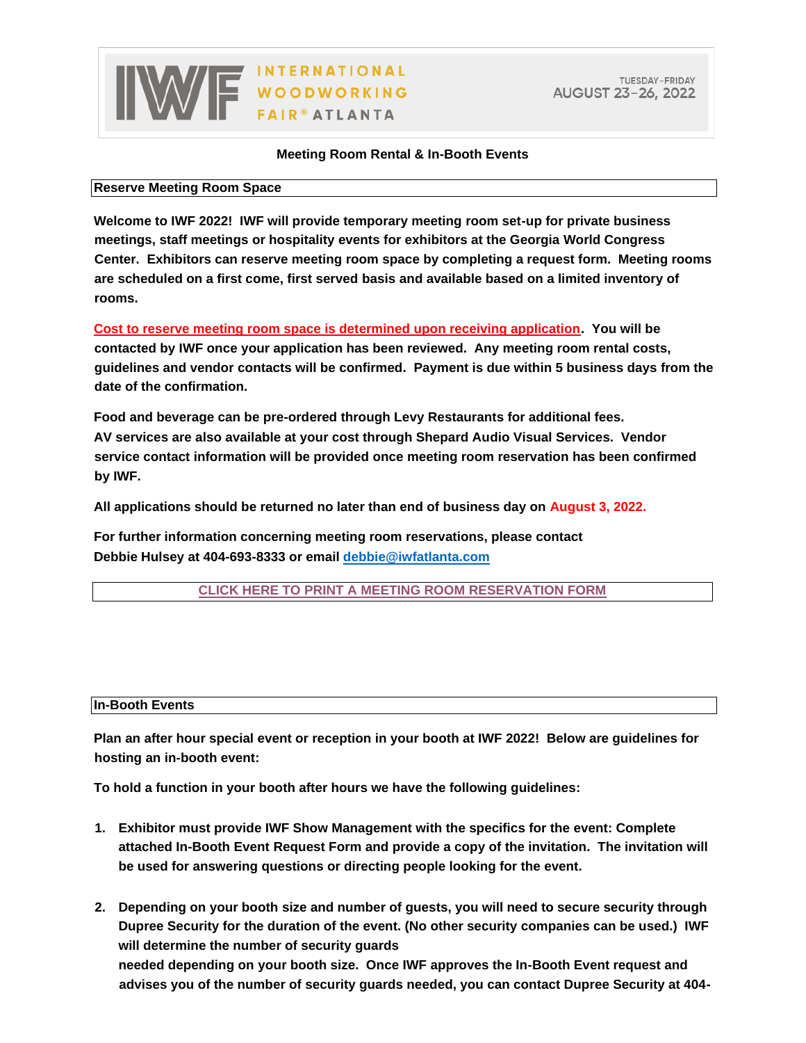## WE WOODWORKING

## **Meeting Room Rental & In-Booth Events**

## **Reserve Meeting Room Space**

**Welcome to IWF 2022! IWF will provide temporary meeting room set-up for private business meetings, staff meetings or hospitality events for exhibitors at the Georgia World Congress Center. Exhibitors can reserve meeting room space by completing a request form. Meeting rooms are scheduled on a first come, first served basis and available based on a limited inventory of rooms.** 

**Cost to reserve meeting room space is determined upon receiving application. You will be contacted by IWF once your application has been reviewed. Any meeting room rental costs, guidelines and vendor contacts will be confirmed. Payment is due within 5 business days from the date of the confirmation.** 

**Food and beverage can be pre-ordered through Levy Restaurants for additional fees. AV services are also available at your cost through Shepard Audio Visual Services. Vendor service contact information will be provided once meeting room reservation has been confirmed by IWF.** 

**All applications should be returned no later than end of business day on August 3, 2022.** 

**For further information concerning meeting room reservations, please contact Debbie Hulsey at 404-693-8333 or email debbie@iwfatlanta.com** 

**[CLICK HERE TO PRINT A MEETING ROOM RESERVATION FORM](https://www.iwfatlanta.com/pdfs/iwf-2022-meeting-room-reservation-form.pdf)**

## **In-Booth Events**

**Plan an after hour special event or reception in your booth at IWF 2022! Below are guidelines for hosting an in-booth event:** 

**To hold a function in your booth after hours we have the following guidelines:** 

- **1. Exhibitor must provide IWF Show Management with the specifics for the event: Complete attached In-Booth Event Request Form and provide a copy of the invitation. The invitation will be used for answering questions or directing people looking for the event.**
- **2. Depending on your booth size and number of guests, you will need to secure security through Dupree Security for the duration of the event. (No other security companies can be used.) IWF will determine the number of security guards needed depending on your booth size. Once IWF approves the In-Booth Event request and advises you of the number of security guards needed, you can contact Dupree Security at 404-**